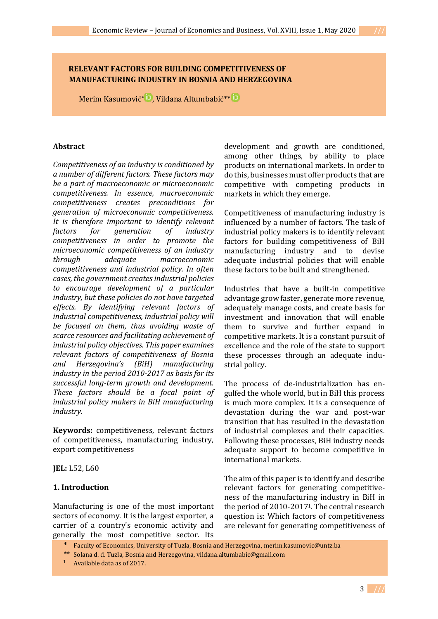# **RELEVANT FACTORS FOR BUILDING COMPETITIVENESS OF MANUFACTURING INDUSTRY IN BOSNIA AND HERZEGOVINA**

Merim Kasumović\* D[,](https://orcid.org/0000-0001-6631-3008) Vildana Altumbabić\*\*

## **Abstract**

*Competitiveness of an industry is conditioned by a number of different factors. These factors may be a part of macroeconomic or microeconomic competitiveness. In essence, macroeconomic competitiveness creates preconditions for generation of microeconomic competitiveness. It is therefore important to identify relevant factors for generation of industry competitiveness in order to promote the microeconomic competitiveness of an industry through adequate macroeconomic competitiveness and industrial policy. In often cases, the government creates industrial policies to encourage development of a particular industry, but these policies do not have targeted effects. By identifying relevant factors of industrial competitiveness, industrial policy will be focused on them, thus avoiding waste of scarce resources and facilitating achievement of industrial policy objectives. This paper examines relevant factors of competitiveness of Bosnia and Herzegovina's (BiH) manufacturing industry in the period 2010-2017 as basis for its successful long-term growth and development. These factors should be a focal point of industrial policy makers in BiH manufacturing industry.*

**Keywords:** competitiveness, relevant factors of competitiveness, manufacturing industry, export competitiveness

**JEL:** L52, L60

### **1. Introduction**

Manufacturing is one of the most important sectors of economy. It is the largest exporter, a carrier of a country's economic activity and generally the most competitive sector. Its development and growth are conditioned, among other things, by ability to place products on international markets. In order to do this, businesses must offer products that are competitive with competing products in markets in which they emerge.

Competitiveness of manufacturing industry is influenced by a number of factors. The task of industrial policy makers is to identify relevant factors for building competitiveness of BiH manufacturing industry and to devise adequate industrial policies that will enable these factors to be built and strengthened.

Industries that have a built-in competitive advantage grow faster, generate more revenue, adequately manage costs, and create basis for investment and innovation that will enable them to survive and further expand in competitive markets. It is a constant pursuit of excellence and the role of the state to support these processes through an adequate industrial policy.

The process of de-industrialization has engulfed the whole world, but in BiH this process is much more complex. It is a consequence of devastation during the war and post-war transition that has resulted in the devastation of industrial complexes and their capacities. Following these processes, BiH industry needs adequate support to become competitive in international markets.

The aim of this paper is to identify and describe relevant factors for generating competitiveness of the manufacturing industry in BiH in the period of 2010-20171. The central research question is: Which factors of competitiveness are relevant for generating competitiveness of

<sup>1</sup> Available data as of 2017.

3 **///**

<sup>\*</sup> Faculty of Economics, University of Tuzla, Bosnia and Herzegovina, [merim.kasumovic@untz.ba](mailto:merim.kasumovic@untz.ba)

*<sup>\*\*</sup>* Solana d. d. Tuzla, Bosnia and Herzegovina, [vildana.altumbabic@gmail.com](mailto:vildana.altumbabic@gmail.com)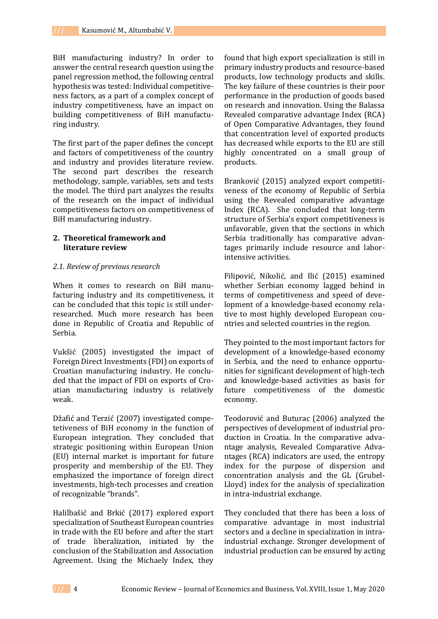BiH manufacturing industry? In order to answer the central research question using the panel regression method, the following central hypothesis was tested: Individual competitiveness factors, as a part of a complex concept of industry competitiveness, have an impact on building competitiveness of BiH manufacturing industry.

The first part of the paper defines the concept and factors of competitiveness of the country and industry and provides literature review. The second part describes the research methodology, sample, variables, sets and tests the model. The third part analyzes the results of the research on the impact of individual competitiveness factors on competitiveness of BiH manufacturing industry.

### **2. Theoretical framework and literature review**

#### *2.1. Review of previous research*

When it comes to research on BiH manufacturing industry and its competitiveness, it can be concluded that this topic is still underresearched. Much more research has been done in Republic of Croatia and Republic of Serbia.

Vukšić (2005) investigated the impact of Foreign Direct Investments (FDI) on exports of Croatian manufacturing industry. He concluded that the impact of FDI on exports of Croatian manufacturing industry is relatively weak.

Džafić and Terzić (2007) investigated competetiveness of BiH economy in the function of European integration. They concluded that strategic positioning within European Union (EU) internal market is important for future prosperity and membership of the EU. They emphasized the importance of foreign direct investments, high-tech processes and creation of recognizable "brands".

Halilbašić and Brkić (2017) explored export specialization of Southeast European countries in trade with the EU before and after the start of trade liberalization, initiated by the conclusion of the Stabilization and Association Agreement. Using the Michaely Index, they

found that high export specialization is still in primary industry products and resource-based products, low technology products and skills. The key failure of these countries is their poor performance in the production of goods based on research and innovation. Using the Balassa Revealed comparative advantage Index (RCA) of Open Comparative Advantages, they found that concentration level of exported products has decreased while exports to the EU are still highly concentrated on a small group of products.

Branković (2015) analyzed export competitiveness of the economy of Republic of Serbia using the Revealed comparative advantage Index (RCA). She concluded that long-term structure of Serbia's export competitiveness is unfavorable, given that the sections in which Serbia traditionally has comparative advantages primarily include resource and laborintensive activities.

Filipović, Nikolić, and Ilić (2015) examined whether Serbian economy lagged behind in terms of competitiveness and speed of development of a knowledge-based economy relative to most highly developed European countries and selected countries in the region.

They pointed to the most important factors for development of a knowledge-based economy in Serbia, and the need to enhance opportunities for significant development of high-tech and knowledge-based activities as basis for future competitiveness of the domestic economy.

Teodorović and Buturac (2006) analyzed the perspectives of development of industrial production in Croatia. In the comparative advantage analysis, Revealed Comparative Advantages (RCA) indicators are used, the entropy index for the purpose of dispersion and concentration analysis and the GL (Grubel-Lloyd) index for the analysis of specialization in intra-industrial exchange.

They concluded that there has been a loss of comparative advantage in most industrial sectors and a decline in specialization in intraindustrial exchange. Stronger development of industrial production can be ensured by acting

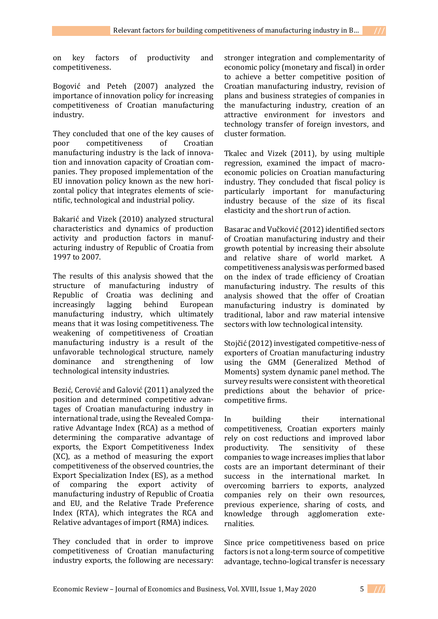on key factors of productivity and competitiveness.

Bogović and Peteh (2007) analyzed the importance of innovation policy for increasing competitiveness of Croatian manufacturing industry.

They concluded that one of the key causes of poor competitiveness of Croatian manufacturing industry is the lack of innovation and innovation capacity of Croatian companies. They proposed implementation of the EU innovation policy known as the new horizontal policy that integrates elements of scientific, technological and industrial policy.

Bakarić and Vizek (2010) analyzed structural characteristics and dynamics of production activity and production factors in manufacturing industry of Republic of Croatia from 1997 to 2007.

The results of this analysis showed that the structure of manufacturing industry of Republic of Croatia was declining and increasingly lagging behind European manufacturing industry, which ultimately means that it was losing competitiveness. The weakening of competitiveness of Croatian manufacturing industry is a result of the unfavorable technological structure, namely dominance and strengthening of low technological intensity industries.

Bezić, Cerović and Galović (2011) analyzed the position and determined competitive advantages of Croatian manufacturing industry in international trade, using the Revealed Comparative Advantage Index (RCA) as a method of determining the comparative advantage of exports, the Export Competitiveness Index (XC), as a method of measuring the export competitiveness of the observed countries, the Export Specialization Index (ES), as a method of comparing the export activity of manufacturing industry of Republic of Croatia and EU, and the Relative Trade Preference Index (RTA), which integrates the RCA and Relative advantages of import (RMA) indices.

They concluded that in order to improve competitiveness of Croatian manufacturing industry exports, the following are necessary: stronger integration and complementarity of economic policy (monetary and fiscal) in order to achieve a better competitive position of Croatian manufacturing industry, revision of plans and business strategies of companies in the manufacturing industry, creation of an attractive environment for investors and technology transfer of foreign investors, and cluster formation.

Tkalec and Vizek (2011), by using multiple regression, examined the impact of macroeconomic policies on Croatian manufacturing industry. They concluded that fiscal policy is particularly important for manufacturing industry because of the size of its fiscal elasticity and the short run of action.

Basarac and Vučković (2012) identified sectors of Croatian manufacturing industry and their growth potential by increasing their absolute and relative share of world market. A competitiveness analysis was performed based on the index of trade efficiency of Croatian manufacturing industry. The results of this analysis showed that the offer of Croatian manufacturing industry is dominated by traditional, labor and raw material intensive sectors with low technological intensity.

Stojčić (2012) investigated competitive-ness of exporters of Croatian manufacturing industry using the GMM (Generalized Method of Moments) system dynamic panel method. The survey results were consistent with theoretical predictions about the behavior of pricecompetitive firms.

In building their international competitiveness, Croatian exporters mainly rely on cost reductions and improved labor productivity. The sensitivity of these companies to wage increases implies that labor costs are an important determinant of their success in the international market. In overcoming barriers to exports, analyzed companies rely on their own resources, previous experience, sharing of costs, and knowledge through agglomeration externalities.

Since price competitiveness based on price factors is not a long-term source of competitive advantage, techno-logical transfer is necessary

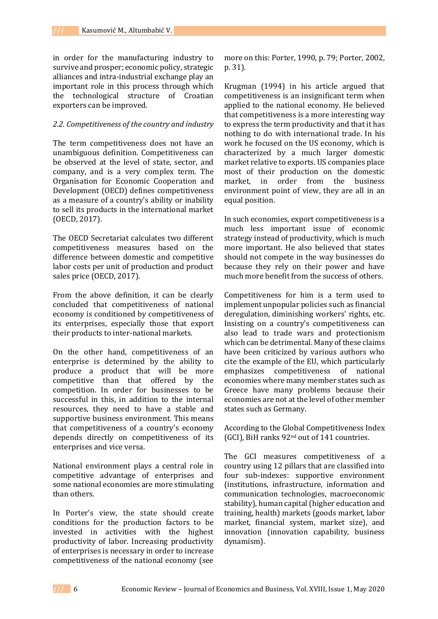in order for the manufacturing industry to survive and prosper; economic policy, strategic alliances and intra-industrial exchange play an important role in this process through which the technological structure of Croatian exporters can be improved.

#### *2.2. Competitiveness of the country and industry*

The term competitiveness does not have an unambiguous definition. Competitiveness can be observed at the level of state, sector, and company, and is a very complex term. The Organisation for Economic Cooperation and Development (OECD) defines competitiveness as a measure of a country's ability or inability to sell its products in the international market (OECD, 2017).

The OECD Secretariat calculates two different competitiveness measures based on the difference between domestic and competitive labor costs per unit of production and product sales price (OECD, 2017).

From the above definition, it can be clearly concluded that competitiveness of national economy is conditioned by competitiveness of its enterprises, especially those that export their products to inter-national markets.

On the other hand, competitiveness of an enterprise is determined by the ability to produce a product that will be more competitive than that offered by the competition. In order for businesses to be successful in this, in addition to the internal resources, they need to have a stable and supportive business environment. This means that competitiveness of a country's economy depends directly on competitiveness of its enterprises and vice versa.

National environment plays a central role in competitive advantage of enterprises and some national economies are more stimulating than others.

In Porter's view, the state should create conditions for the production factors to be invested in activities with the highest productivity of labor. Increasing productivity of enterprises is necessary in order to increase competitiveness of the national economy (see

more on this: Porter, 1990, p. 79; Porter, 2002, p. 31).

Krugman (1994) in his article argued that competitiveness is an insignificant term when applied to the national economy. He believed that competitiveness is a more interesting way to express the term productivity and that it has nothing to do with international trade. In his work he focused on the US economy, which is characterized by a much larger domestic market relative to exports. US companies place most of their production on the domestic market, in order from the business environment point of view, they are all in an equal position.

In such economies, export competitiveness is a much less important issue of economic strategy instead of productivity, which is much more important. He also believed that states should not compete in the way businesses do because they rely on their power and have much more benefit from the success of others.

Competitiveness for him is a term used to implement unpopular policies such as financial deregulation, diminishing workers' rights, etc. Insisting on a country's competitiveness can also lead to trade wars and protectionism which can be detrimental. Many of these claims have been criticized by various authors who cite the example of the EU, which particularly emphasizes competitiveness of national economies where many member states such as Greece have many problems because their economies are not at the level of other member states such as Germany.

According to the Global Competitiveness Index (GCI), BiH ranks 92nd out of 141 countries.

The GCI measures competitiveness of a country using 12 pillars that are classified into four sub-indexes: supportive environment (institutions, infrastructure, information and communication technologies, macroeconomic stability), human capital (higher education and training, health) markets (goods market, labor market, financial system, market size), and innovation (innovation capability, business dynamism).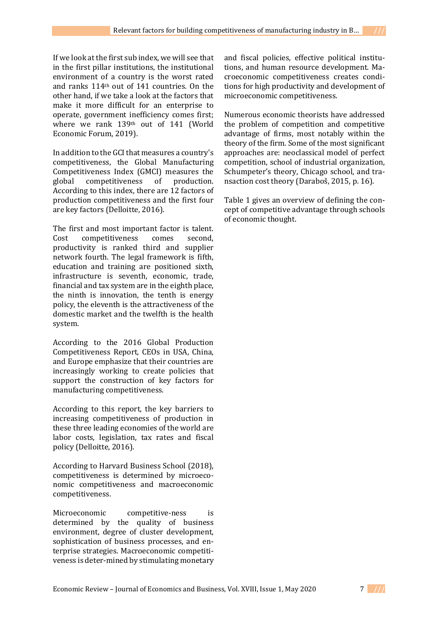If we look at the first sub index, we will see that in the first pillar institutions, the institutional environment of a country is the worst rated and ranks 114th out of 141 countries. On the other hand, if we take a look at the factors that make it more difficult for an enterprise to operate, government inefficiency comes first; where we rank 139th out of 141 (World Economic Forum, 2019).

In addition to the GCI that measures a country's competitiveness, the Global Manufacturing Competitiveness Index (GMCI) measures the global competitiveness of production. According to this index, there are 12 factors of production competitiveness and the first four are key factors (Delloitte, 2016).

The first and most important factor is talent. Cost competitiveness comes second, productivity is ranked third and supplier network fourth. The legal framework is fifth, education and training are positioned sixth, infrastructure is seventh, economic, trade, financial and tax system are in the eighth place, the ninth is innovation, the tenth is energy policy, the eleventh is the attractiveness of the domestic market and the twelfth is the health system.

According to the 2016 Global Production Competitiveness Report, CEOs in USA, China, and Europe emphasize that their countries are increasingly working to create policies that support the construction of key factors for manufacturing competitiveness.

According to this report, the key barriers to increasing competitiveness of production in these three leading economies of the world are labor costs, legislation, tax rates and fiscal policy (Delloitte, 2016).

According to Harvard Business School (2018), competitiveness is determined by microeconomic competitiveness and macroeconomic competitiveness.

Microeconomic competitive-ness is determined by the quality of business environment, degree of cluster development, sophistication of business processes, and enterprise strategies. Macroeconomic competitiveness is deter-mined by stimulating monetary

and fiscal policies, effective political institutions, and human resource development. Macroeconomic competitiveness creates conditions for high productivity and development of microeconomic competitiveness.

Numerous economic theorists have addressed the problem of competition and competitive advantage of firms, most notably within the theory of the firm. Some of the most significant approaches are: neoclassical model of perfect competition, school of industrial organization, Schumpeter's theory, Chicago school, and transaction cost theory (Daraboš, 2015, p. 16).

Table 1 gives an overview of defining the concept of competitive advantage through schools of economic thought.

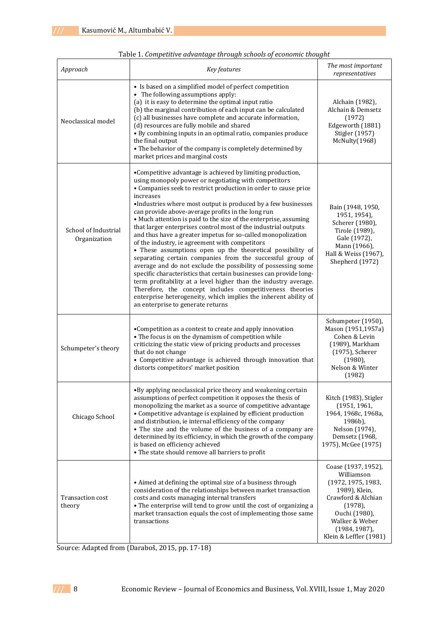| Approach                             | Key features                                                                                                                                                                                                                                                                                                                                                                                                                                                                                                                                                                                                                                                                                                                                                                                                                                                                                                                                                                                                                                                                              | The most important<br>representatives                                                                                                                                                         |
|--------------------------------------|-------------------------------------------------------------------------------------------------------------------------------------------------------------------------------------------------------------------------------------------------------------------------------------------------------------------------------------------------------------------------------------------------------------------------------------------------------------------------------------------------------------------------------------------------------------------------------------------------------------------------------------------------------------------------------------------------------------------------------------------------------------------------------------------------------------------------------------------------------------------------------------------------------------------------------------------------------------------------------------------------------------------------------------------------------------------------------------------|-----------------------------------------------------------------------------------------------------------------------------------------------------------------------------------------------|
| Neoclassical model                   | • Is based on a simplified model of perfect competition<br>• The following assumptions apply:<br>(a) it is easy to determine the optimal input ratio<br>(b) the marginal contribution of each input can be calculated<br>(c) all businesses have complete and accurate information,<br>(d) resources are fully mobile and shared<br>• By combining inputs in an optimal ratio, companies produce<br>the final output<br>• The behavior of the company is completely determined by<br>market prices and marginal costs                                                                                                                                                                                                                                                                                                                                                                                                                                                                                                                                                                     | Alchain (1982),<br>Alchain & Demsetz<br>(1972)<br>Edgeworth (1881)<br>Stigler (1957)<br>McNulty(1968)                                                                                         |
| School of Industrial<br>Organization | •Competitive advantage is achieved by limiting production,<br>using monopoly power or negotiating with competitors<br>• Companies seek to restrict production in order to cause price<br>increases<br>•Industries where most output is produced by a few businesses<br>can provide above-average profits in the long run<br>• Much attention is paid to the size of the enterprise, assuming<br>that larger enterprises control most of the industrial outputs<br>and thus have a greater impetus for so-called monopolization<br>of the industry, ie agreement with competitors<br>• These assumptions open up the theoretical possibility of<br>separating certain companies from the successful group of<br>average and do not exclude the possibility of possessing some<br>specific characteristics that certain businesses can provide long-<br>term profitability at a level higher than the industry average.<br>Therefore, the concept includes competitiveness theories<br>enterprise heterogeneity, which implies the inherent ability of<br>an enterprise to generate returns | Bain (1948, 1950,<br>1951, 1954),<br>Scherer (1980),<br>Tirole (1989),<br>Gale (1972),<br>Mann (1966),<br>Hall & Weiss (1967),<br>Shepherd (1972)                                             |
| Schumpeter's theory                  | •Competition as a contest to create and apply innovation<br>• The focus is on the dynamism of competition while<br>criticizing the static view of pricing products and processes<br>that do not change<br>• Competitive advantage is achieved through innovation that<br>distorts competitors' market position                                                                                                                                                                                                                                                                                                                                                                                                                                                                                                                                                                                                                                                                                                                                                                            | Schumpeter (1950),<br>Mason (1951,1957a)<br>Cohen & Levin<br>(1989), Markham<br>(1975), Scherer<br>$(1980)$ ,<br>Nelson & Winter<br>(1982)                                                    |
| Chicago School                       | •By applying neoclassical price theory and weakening certain<br>assumptions of perfect competition it opposes the thesis of<br>monopolizing the market as a source of competitive advantage<br>• Competitive advantage is explained by efficient production<br>and distribution, ie internal efficiency of the company<br>• The size and the volume of the business of a company are<br>determined by its efficiency, in which the growth of the company<br>is based on efficiency achieved<br>• The state should remove all barriers to profit                                                                                                                                                                                                                                                                                                                                                                                                                                                                                                                                           | Kitch (1983), Stigler<br>(1951, 1961,<br>1964, 1968с, 1968а,<br>1986b),<br>Nelson (1974),<br>Demsetz (1968,<br>1975), McGee (1975)                                                            |
| Transaction cost<br>theory           | • Aimed at defining the optimal size of a business through<br>consideration of the relationships between market transaction<br>costs and costs managing internal transfers<br>• The enterprise will tend to grow until the cost of organizing a<br>market transaction equals the cost of implementing those same<br>transactions                                                                                                                                                                                                                                                                                                                                                                                                                                                                                                                                                                                                                                                                                                                                                          | Coase (1937, 1952),<br>Williamson<br>(1972, 1975, 1983,<br>1989), Klein,<br>Crawford & Alchian<br>$(1978)$ ,<br>Ouchi (1980),<br>Walker & Weber<br>$(1984, 1987)$ ,<br>Klein & Leffler (1981) |

Table 1. *Competitive advantage through schools of economic thought*

Source: Adapted from (Daraboš, 2015, pp. 17-18)

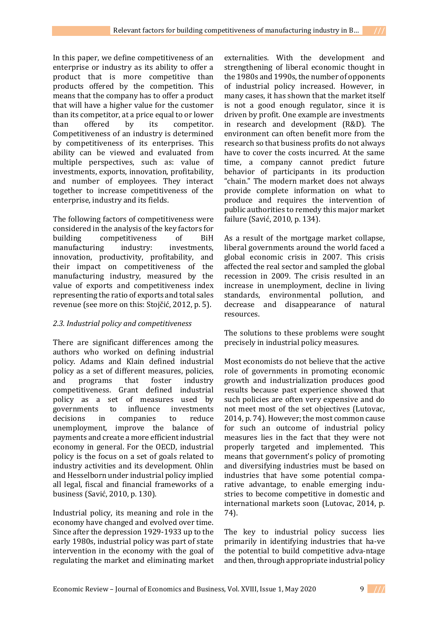In this paper, we define competitiveness of an enterprise or industry as its ability to offer a product that is more competitive than products offered by the competition. This means that the company has to offer a product that will have a higher value for the customer than its competitor, at a price equal to or lower than offered by its competitor. Competitiveness of an industry is determined by competitiveness of its enterprises. This ability can be viewed and evaluated from multiple perspectives, such as: value of investments, exports, innovation, profitability, and number of employees. They interact together to increase competitiveness of the enterprise, industry and its fields.

The following factors of competitiveness were considered in the analysis of the key factors for building competitiveness of BiH manufacturing industry: investments, innovation, productivity, profitability, and their impact on competitiveness of the manufacturing industry, measured by the value of exports and competitiveness index representing the ratio of exports and total sales revenue (see more on this: Stojčić, 2012, p. 5).

# *2.3. Industrial policy and competitiveness*

There are significant differences among the authors who worked on defining industrial policy. Adams and Klain defined industrial policy as a set of different measures, policies, and programs that foster industry competitiveness. Grant defined industrial policy as a set of measures used by governments to influence investments decisions in companies to reduce unemployment, improve the balance of payments and create a more efficient industrial economy in general. For the OECD, industrial policy is the focus on a set of goals related to industry activities and its development. Ohlin and Hesselborn under industrial policy implied all legal, fiscal and financial frameworks of a business (Savić, 2010, p. 130).

Industrial policy, its meaning and role in the economy have changed and evolved over time. Since after the depression 1929-1933 up to the early 1980s, industrial policy was part of state intervention in the economy with the goal of regulating the market and eliminating market

externalities. With the development and strengthening of liberal economic thought in the 1980s and 1990s, the number of opponents of industrial policy increased. However, in many cases, it has shown that the market itself is not a good enough regulator, since it is driven by profit. One example are investments in research and development (R&D). The environment can often benefit more from the research so that business profits do not always have to cover the costs incurred. At the same time, a company cannot predict future behavior of participants in its production "chain." The modern market does not always provide complete information on what to produce and requires the intervention of public authorities to remedy this major market failure (Savić, 2010, p. 134).

As a result of the mortgage market collapse, liberal governments around the world faced a global economic crisis in 2007. This crisis affected the real sector and sampled the global recession in 2009. The crisis resulted in an increase in unemployment, decline in living standards, environmental pollution, and decrease and disappearance of natural resources.

The solutions to these problems were sought precisely in industrial policy measures.

Most economists do not believe that the active role of governments in promoting economic growth and industrialization produces good results because past experience showed that such policies are often very expensive and do not meet most of the set objectives (Lutovac, 2014, p. 74). However; the most common cause for such an outcome of industrial policy measures lies in the fact that they were not properly targeted and implemented. This means that government's policy of promoting and diversifying industries must be based on industries that have some potential comparative advantage, to enable emerging industries to become competitive in domestic and international markets soon (Lutovac, 2014, p. 74).

The key to industrial policy success lies primarily in identifying industries that ha-ve the potential to build competitive adva-ntage and then, through appropriate industrial policy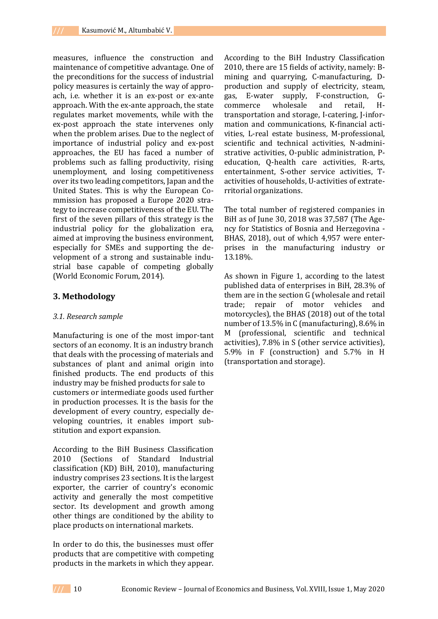measures, influence the construction and maintenance of competitive advantage. One of the preconditions for the success of industrial policy measures is certainly the way of approach, i.e. whether it is an ex-post or ex-ante approach. With the ex-ante approach, the state regulates market movements, while with the ex-post approach the state intervenes only when the problem arises. Due to the neglect of importance of industrial policy and ex-post approaches, the EU has faced a number of problems such as falling productivity, rising unemployment, and losing competitiveness over its two leading competitors, Japan and the United States. This is why the European Commission has proposed a Europe 2020 strategy to increase competitiveness of the EU. The first of the seven pillars of this strategy is the industrial policy for the globalization era, aimed at improving the business environment, especially for SMEs and supporting the development of a strong and sustainable industrial base capable of competing globally (World Economic Forum, 2014).

### **3. Methodology**

### *3.1. Research sample*

Manufacturing is one of the most impor-tant sectors of an economy. It is an industry branch that deals with the processing of materials and substances of plant and animal origin into finished products. The end products of this industry may be fnished products for sale to customers or intermediate goods used further in production processes. It is the basis for the development of every country, especially developing countries, it enables import substitution and export expansion.

According to the BiH Business Classification 2010 (Sections of Standard Industrial classification (KD) BiH, 2010), manufacturing industry comprises 23 sections. It is the largest exporter, the carrier of country's economic activity and generally the most competitive sector. Its development and growth among other things are conditioned by the ability to place products on international markets.

In order to do this, the businesses must offer products that are competitive with competing products in the markets in which they appear.

According to the BiH Industry Classification 2010, there are 15 fields of activity, namely: Bmining and quarrying, C-manufacturing, Dproduction and supply of electricity, steam, gas, E-water supply, F-construction, Gcommerce wholesale and retail, Htransportation and storage, I-catering, J-information and communications, K-financial activities, L-real estate business, M-professional, scientific and technical activities, N-administrative activities, O-public administration, Peducation, Q-health care activities, R-arts, entertainment, S-other service activities, Tactivities of households, U-activities of extraterritorial organizations.

The total number of registered companies in BiH as of June 30, 2018 was 37,587 (The Agency for Statistics of Bosnia and Herzegovina - BHAS, 2018), out of which 4,957 were enterprises in the manufacturing industry or 13.18%.

As shown in Figure 1, according to the latest published data of enterprises in BiH, 28.3% of them are in the section G (wholesale and retail trade; repair of motor vehicles and motorcycles), the BHAS (2018) out of the total number of 13.5% in C (manufacturing), 8.6% in M (professional, scientific and technical activities), 7.8% in S (other service activities), 5.9% in F (construction) and 5.7% in H (transportation and storage).

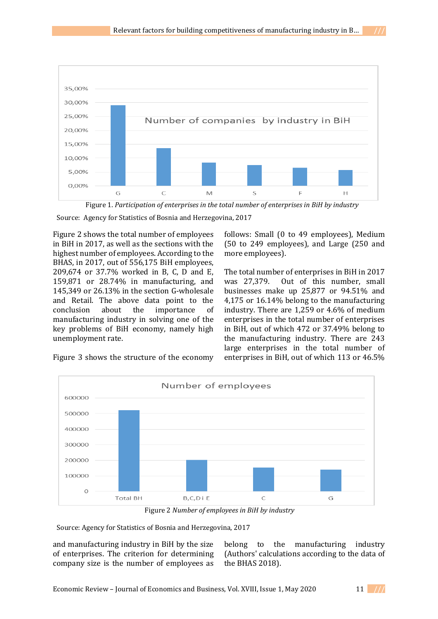

Figure 1. *Participation of enterprises in the total number of enterprises in BiH by industry*

Source: Agency for Statistics of Bosnia and Herzegovina, 2017

Figure 2 shows the total number of employees in BiH in 2017, as well as the sections with the highest number of employees. According to the BHAS, in 2017, out of 556,175 BiH employees, 209,674 or 37.7% worked in B, C, D and E, 159,871 or 28.74% in manufacturing, and 145,349 or 26.13% in the section G-wholesale and Retail. The above data point to the conclusion about the importance of manufacturing industry in solving one of the key problems of BiH economy, namely high unemployment rate.

follows: Small (0 to 49 employees), Medium (50 to 249 employees), and Large (250 and more employees).

The total number of enterprises in BiH in 2017 was 27,379. Out of this number, small businesses make up 25,877 or 94.51% and 4,175 or 16.14% belong to the manufacturing industry. There are 1,259 or 4.6% of medium enterprises in the total number of enterprises in BiH, out of which 472 or 37.49% belong to the manufacturing industry. There are 243 large enterprises in the total number of enterprises in BiH, out of which 113 or 46.5%

Figure 3 shows the structure of the economy



Figure 2 *Number of employees in BiH by industry*

Source: Agency for Statistics of Bosnia and Herzegovina, 2017

and manufacturing industry in BiH by the size of enterprises. The criterion for determining company size is the number of employees as belong to the manufacturing industry (Authors' calculations according to the data of the BHAS 2018).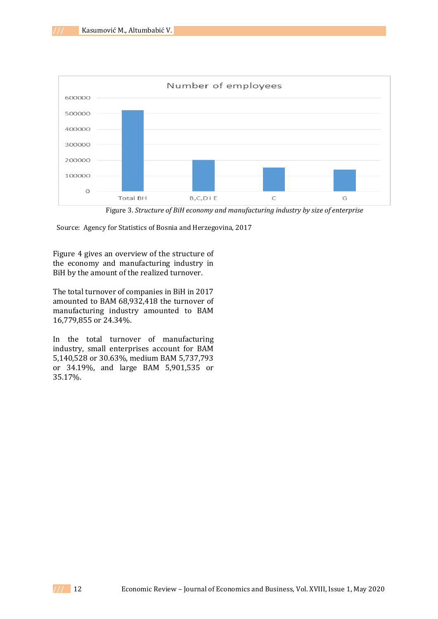

Figure 3. *Structure of BiH economy and manufacturing industry by size of enterprise*

Source: Agency for Statistics of Bosnia and Herzegovina, 2017

Figure 4 gives an overview of the structure of the economy and manufacturing industry in BiH by the amount of the realized turnover.

The total turnover of companies in BiH in 2017 amounted to BAM 68,932,418 the turnover of manufacturing industry amounted to BAM 16,779,855 or 24.34%.

In the total turnover of manufacturing industry, small enterprises account for BAM 5,140,528 or 30.63%, medium BAM 5,737,793 or 34.19%, and large BAM 5,901,535 or 35.17%.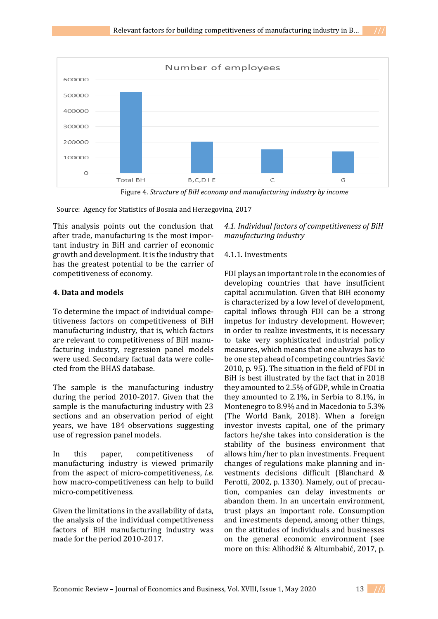

Figure 4. *Structure of BiH economy and manufacturing industry by income*

Source: Agency for Statistics of Bosnia and Herzegovina, 2017

This analysis points out the conclusion that after trade, manufacturing is the most important industry in BiH and carrier of economic growth and development. It is the industry that has the greatest potential to be the carrier of competitiveness of economy.

# **4. Data and models**

To determine the impact of individual competitiveness factors on competitiveness of BiH manufacturing industry, that is, which factors are relevant to competitiveness of BiH manufacturing industry, regression panel models were used. Secondary factual data were collected from the BHAS database.

The sample is the manufacturing industry during the period 2010-2017. Given that the sample is the manufacturing industry with 23 sections and an observation period of eight years, we have 184 observations suggesting use of regression panel models.

In this paper, competitiveness of manufacturing industry is viewed primarily from the aspect of micro-competitiveness, *i.e.* how macro-competitiveness can help to build micro-competitiveness.

Given the limitations in the availability of data, the analysis of the individual competitiveness factors of BiH manufacturing industry was made for the period 2010-2017.

*4.1. Individual factors of competitiveness of BiH manufacturing industry*

# 4.1.1. Investments

FDI plays an important role in the economies of developing countries that have insufficient capital accumulation. Given that BiH economy is characterized by a low level of development, capital inflows through FDI can be a strong impetus for industry development. However; in order to realize investments, it is necessary to take very sophisticated industrial policy measures, which means that one always has to be one step ahead of competing countries Savić 2010, p. 95). The situation in the field of FDI in BiH is best illustrated by the fact that in 2018 they amounted to 2.5% of GDP, while in Croatia they amounted to 2.1%, in Serbia to 8.1%, in Montenegro to 8.9% and in Macedonia to 5.3% (The World Bank, 2018). When a foreign investor invests capital, one of the primary factors he/she takes into consideration is the stability of the business environment that allows him/her to plan investments. Frequent changes of regulations make planning and investments decisions difficult (Blanchard & Perotti, 2002, p. 1330). Namely, out of precaution, companies can delay investments or abandon them. In an uncertain environment, trust plays an important role. Consumption and investments depend, among other things, on the attitudes of individuals and businesses on the general economic environment (see more on this: Alihodžić & Altumbabić, 2017, p.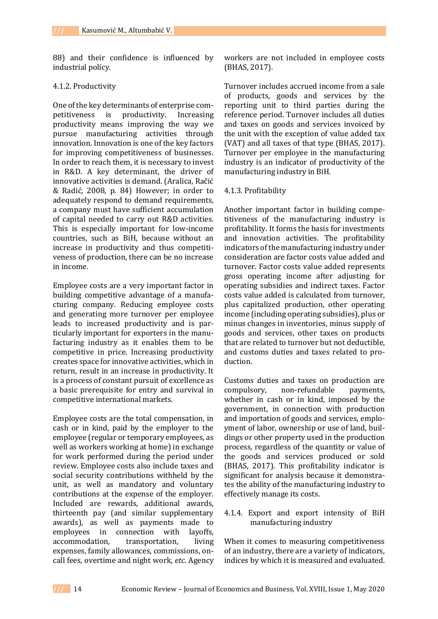88) and their confidence is influenced by industrial policy.

#### 4.1.2. Productivity

One of the key determinants of enterprise competitiveness is productivity. Increasing productivity means improving the way we pursue manufacturing activities through innovation. Innovation is one of the key factors for improving competitiveness of businesses. In order to reach them, it is necessary to invest in R&D. A key determinant, the driver of innovative activities is demand. (Aralica, Račić & Radić, 2008, p. 84) However; in order to adequately respond to demand requirements, a company must have sufficient accumulation of capital needed to carry out R&D activities. This is especially important for low-income countries, such as BiH, because without an increase in productivity and thus competitiveness of production, there can be no increase in income.

Employee costs are a very important factor in building competitive advantage of a manufacturing company. Reducing employee costs and generating more turnover per employee leads to increased productivity and is particularly important for exporters in the manufacturing industry as it enables them to be competitive in price. Increasing productivity creates space for innovative activities, which in return, result in an increase in productivity. It is a process of constant pursuit of excellence as a basic prerequisite for entry and survival in competitive international markets.

Employee costs are the total compensation, in cash or in kind, paid by the employer to the employee (regular or temporary employees, as well as workers working at home) in exchange for work performed during the period under review. Employee costs also include taxes and social security contributions withheld by the unit, as well as mandatory and voluntary contributions at the expense of the employer. Included are rewards, additional awards, thirteenth pay (and similar supplementary awards), as well as payments made to employees in connection with layoffs, accommodation, transportation, living expenses, family allowances, commissions, oncall fees, overtime and night work, *etc*. Agency

workers are not included in employee costs (BHAS, 2017).

Turnover includes accrued income from a sale of products, goods and services by the reporting unit to third parties during the reference period. Turnover includes all duties and taxes on goods and services invoiced by the unit with the exception of value added tax (VAT) and all taxes of that type (BHAS, 2017). Turnover per employee in the manufacturing industry is an indicator of productivity of the manufacturing industry in BiH.

#### 4.1.3. Profitability

Another important factor in building competitiveness of the manufacturing industry is profitability. It forms the basis for investments and innovation activities. The profitability indicators of the manufacturing industry under consideration are factor costs value added and turnover. Factor costs value added represents gross operating income after adjusting for operating subsidies and indirect taxes. Factor costs value added is calculated from turnover, plus capitalized production, other operating income (including operating subsidies), plus or minus changes in inventories, minus supply of goods and services, other taxes on products that are related to turnover but not deductible, and customs duties and taxes related to production.

Customs duties and taxes on production are compulsory, non-refundable payments, whether in cash or in kind, imposed by the government, in connection with production and importation of goods and services, employment of labor, ownership or use of land, buildings or other property used in the production process, regardless of the quantity or value of the goods and services produced or sold (BHAS, 2017). This profitability indicator is significant for analysis because it demonstrates the ability of the manufacturing industry to effectively manage its costs.

#### 4.1.4. Export and export intensity of BiH manufacturing industry

When it comes to measuring competitiveness of an industry, there are a variety of indicators, indices by which it is measured and evaluated.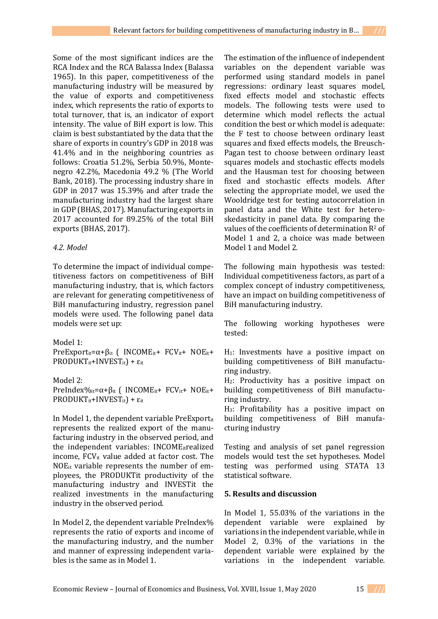Some of the most significant indices are the RCA Index and the RCA Balassa Index (Balassa 1965). In this paper, competitiveness of the manufacturing industry will be measured by the value of exports and competitiveness index, which represents the ratio of exports to total turnover, that is, an indicator of export intensity. The value of BiH export is low. This claim is best substantiated by the data that the share of exports in country's GDP in 2018 was 41.4% and in the neighboring countries as follows: Croatia 51.2%, Serbia 50.9%, Montenegro 42.2%, Macedonia 49.2 % (The World Bank, 2018). The processing industry share in GDP in 2017 was 15.39% and after trade the manufacturing industry had the largest share in GDP (BHAS, 2017). Manufacturing exports in 2017 accounted for 89.25% of the total BiH exports (BHAS, 2017).

### *4.2. Model*

To determine the impact of individual competitiveness factors on competitiveness of BiH manufacturing industry, that is, which factors are relevant for generating competitiveness of BiH manufacturing industry, regression panel models were used. The following panel data models were set up:

Model 1:

PreExport<sub>it</sub>= $\alpha$ + $\beta$ <sub>it</sub> ( INCOME<sub>it</sub>+ FCV<sub>it</sub>+ NOE<sub>it</sub>+  $PRODUKT_{it} + INVEST_{it}$ ) +  $\varepsilon_{it}$ 

Model 2: PreIndex%<sub>it</sub>= $\alpha$ + $\beta$ <sub>it</sub> ( INCOME<sub>it</sub>+ FCV<sub>it</sub>+ NOE<sub>it</sub>+  $PRODUKT_{it}+INVEST_{it}$ ) +  $\varepsilon_{it}$ 

In Model 1, the dependent variable PreExporttit represents the realized export of the manufacturing industry in the observed period, and the independent variables: INCOMEitrealized income,  $FCV_{it}$  value added at factor cost. The NOEit variable represents the number of employees, the PRODUKTit productivity of the manufacturing industry and INVESTit the realized investments in the manufacturing industry in the observed period.

In Model 2, the dependent variable PreIndex% represents the ratio of exports and income of the manufacturing industry, and the number and manner of expressing independent variables is the same as in Model 1.

The estimation of the influence of independent variables on the dependent variable was performed using standard models in panel regressions: ordinary least squares model, fixed effects model and stochastic effects models. The following tests were used to determine which model reflects the actual condition the best or which model is adequate: the F test to choose between ordinary least squares and fixed effects models, the Breusch-Pagan test to choose between ordinary least squares models and stochastic effects models and the Hausman test for choosing between fixed and stochastic effects models. After selecting the appropriate model, we used the Wooldridge test for testing autocorrelation in panel data and the White test for heteroskedasticity in panel data. By comparing the values of the coefficients of determination  $R^2$  of Model 1 and 2, a choice was made between Model 1 and Model 2.

The following main hypothesis was tested: Individual competitiveness factors, as part of a complex concept of industry competitiveness, have an impact on building competitiveness of BiH manufacturing industry.

The following working hypotheses were tested:

 $H_1$ : Investments have a positive impact on building competitiveness of BiH manufacturing industry.

H2: Productivity has a positive impact on building competitiveness of BiH manufacturing industry.

H3: Profitability has a positive impact on building competitiveness of BiH manufacturing industry

Testing and analysis of set panel regression models would test the set hypotheses. Model testing was performed using STATA 13 statistical software.

### **5. Results and discussion**

In Model 1, 55.03% of the variations in the dependent variable were explained by variations in the independent variable, while in Model 2, 0.3% of the variations in the dependent variable were explained by the variations in the independent variable.

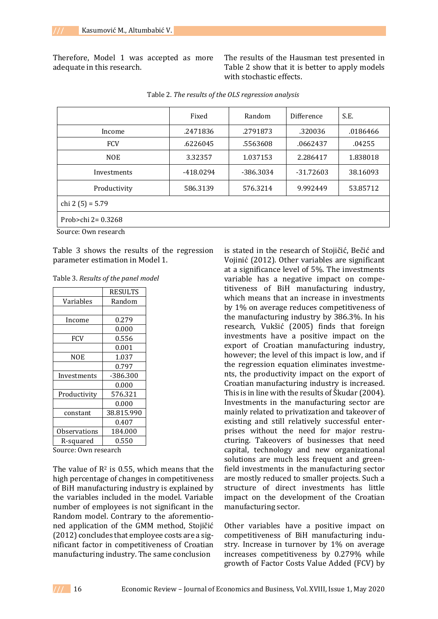Therefore, Model 1 was accepted as more adequate in this research.

The results of the Hausman test presented in Table 2 show that it is better to apply models with stochastic effects.

|                      | Fixed       | Random    | Difference  | S.E.     |  |
|----------------------|-------------|-----------|-------------|----------|--|
| Income               | .2471836    | .2791873  | .320036     | .0186466 |  |
| <b>FCV</b>           | .6226045    | .5563608  | .0662437    | .04255   |  |
| <b>NOE</b>           | 3.32357     | 1.037153  | 2.286417    | 1.838018 |  |
| Investments          | $-418.0294$ | -386.3034 | $-31.72603$ | 38.16093 |  |
| Productivity         | 586.3139    | 576.3214  | 9.992449    | 53.85712 |  |
| chi 2 (5) = $5.79$   |             |           |             |          |  |
| Prob>chi 2= $0.3268$ |             |           |             |          |  |

|  |  | Table 2. The results of the OLS regression analysis |  |
|--|--|-----------------------------------------------------|--|
|  |  |                                                     |  |

Source: Own research

Table 3 shows the results of the regression parameter estimation in Model 1.

Table 3. *Results of the panel model*

|              | <b>RESULTS</b> |  |  |
|--------------|----------------|--|--|
| Variables    | Random         |  |  |
|              |                |  |  |
| Income       | 0.279          |  |  |
|              | 0.000          |  |  |
| <b>FCV</b>   | 0.556          |  |  |
|              | 0.001          |  |  |
| NOE          | 1.037          |  |  |
|              | 0.797          |  |  |
| Investments  | -386.300       |  |  |
|              | 0.000          |  |  |
| Productivity | 576.321        |  |  |
|              | 0.000          |  |  |
| constant     | 38.815.990     |  |  |
|              | 0.407          |  |  |
| Observations | 184.000        |  |  |
| R-squared    | 0.550          |  |  |

Source: Own research

The value of  $R^2$  is 0.55, which means that the high percentage of changes in competitiveness of BiH manufacturing industry is explained by the variables included in the model. Variable number of employees is not significant in the Random model. Contrary to the aforementioned application of the GMM method, Stojičić (2012) concludes that employee costs are a significant factor in competitiveness of Croatian manufacturing industry. The same conclusion

is stated in the research of Stojičić, Bečić and Vojinić (2012). Other variables are significant at a significance level of 5%. The investments variable has a negative impact on competitiveness of BiH manufacturing industry, which means that an increase in investments by 1% on average reduces competitiveness of the manufacturing industry by 386.3%. In his research, Vukšić (2005) finds that foreign investments have a positive impact on the export of Croatian manufacturing industry, however; the level of this impact is low, and if the regression equation eliminates investments, the productivity impact on the export of Croatian manufacturing industry is increased. This is in line with the results of Škudar (2004). Investments in the manufacturing sector are mainly related to privatization and takeover of existing and still relatively successful enterprises without the need for major restructuring. Takeovers of businesses that need capital, technology and new organizational solutions are much less frequent and greenfield investments in the manufacturing sector are mostly reduced to smaller projects. Such a structure of direct investments has little impact on the development of the Croatian manufacturing sector.

Other variables have a positive impact on competitiveness of BiH manufacturing industry. Increase in turnover by 1% on average increases competitiveness by 0.279% while growth of Factor Costs Value Added (FCV) by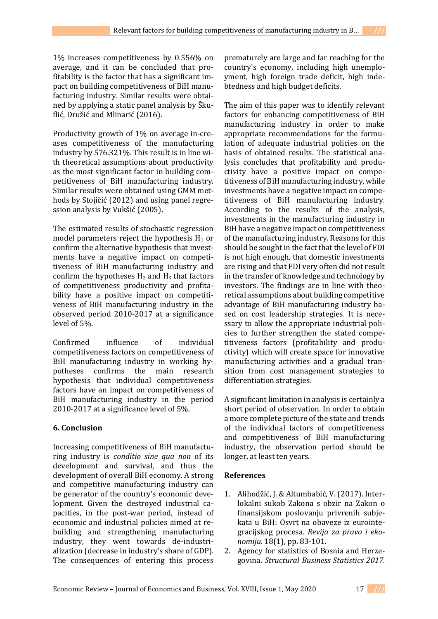1% increases competitiveness by 0.556% on average, and it can be concluded that profitability is the factor that has a significant impact on building competitiveness of BiH manufacturing industry. Similar results were obtained by applying a static panel analysis by Škuflić, Družić and Mlinarić (2016).

Productivity growth of 1% on average in-creases competitiveness of the manufacturing industry by 576.321%. This result is in line with theoretical assumptions about productivity as the most significant factor in building competitiveness of BiH manufacturing industry. Similar results were obtained using GMM methods by Stojičić (2012) and using panel regression analysis by Vukšić (2005).

The estimated results of stochastic regression model parameters reject the hypothesis  $H_1$  or confirm the alternative hypothesis that investments have a negative impact on competitiveness of BiH manufacturing industry and confirm the hypotheses  $H_2$  and  $H_3$  that factors of competitiveness productivity and profitability have a positive impact on competitiveness of BiH manufacturing industry in the observed period 2010-2017 at a significance level of 5%.

Confirmed influence of individual competitiveness factors on competitiveness of BiH manufacturing industry in working hypotheses confirms the main research hypothesis that individual competitiveness factors have an impact on competitiveness of BiH manufacturing industry in the period 2010-2017 at a significance level of 5%.

# **6. Conclusion**

Increasing competitiveness of BiH manufacturing industry is *conditio sine qua non* of its development and survival, and thus the development of overall BiH economy. A strong and competitive manufacturing industry can be generator of the country's economic development. Given the destroyed industrial capacities, in the post-war period, instead of economic and industrial policies aimed at rebuilding and strengthening manufacturing industry, they went towards de-industrialization (decrease in industry's share of GDP). The consequences of entering this process

prematurely are large and far reaching for the country's economy, including high unemployment, high foreign trade deficit, high indebtedness and high budget deficits.

The aim of this paper was to identify relevant factors for enhancing competitiveness of BiH manufacturing industry in order to make appropriate recommendations for the formulation of adequate industrial policies on the basis of obtained results. The statistical analysis concludes that profitability and productivity have a positive impact on competitiveness of BiH manufacturing industry, while investments have a negative impact on competitiveness of BiH manufacturing industry. According to the results of the analysis, investments in the manufacturing industry in BiH have a negative impact on competitiveness of the manufacturing industry. Reasons for this should be sought in the fact that the level of FDI is not high enough, that domestic investments are rising and that FDI very often did not result in the transfer of knowledge and technology by investors. The findings are in line with theoretical assumptions about building competitive advantage of BiH manufacturing industry based on cost leadership strategies. It is necessary to allow the appropriate industrial policies to further strengthen the stated competitiveness factors (profitability and productivity) which will create space for innovative manufacturing activities and a gradual transition from cost management strategies to differentiation strategies.

A significant limitation in analysis is certainly a short period of observation. In order to obtain a more complete picture of the state and trends of the individual factors of competitiveness and competitiveness of BiH manufacturing industry, the observation period should be longer, at least ten years.

# **References**

- 1. Alihodžić, J. & Altumbabić, V. (2017). Interlokalni sukob Zakona s obzir na Zakon o finansijskom poslovanju privrenih subjekata u BiH: Osvrt na obaveze iz eurointegracijskog procesa*. Revija za pravo i ekonomiju.* 18(1), pp. 83-101.
- 2. Agency for statistics of Bosnia and Herzegovina. *Structural Business Statistics 2017*.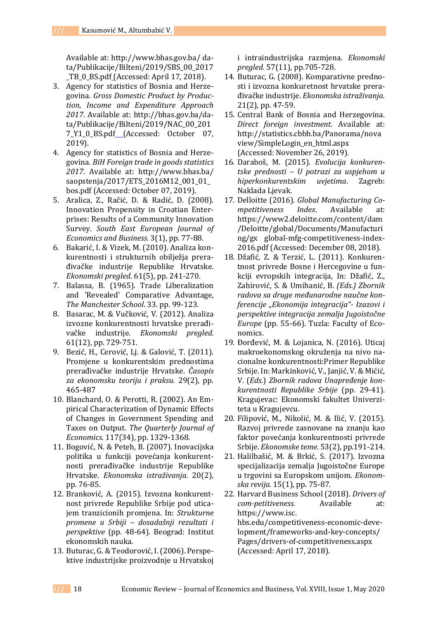Available at: http://www.bhas.gov.ba/ data/Publikacije/Bilteni/2019/SBS\_00\_2017 \_TB\_0\_BS.pdf (Accessed: April 17, 2018).

- 3. Agency for statistics of Bosnia and Herzegovina. *Gross Domestic Product by Production, Income and Expenditure Approach 2017*. Available at: http://bhas.gov.ba/data/Publikacije/Bilteni/2019/NAC\_00\_201 7\_Y1\_0\_BS.pdf (Accessed: October 07, 2019).
- 4. Agency for statistics of Bosnia and Herzegovina*. BiH Foreign trade in goods statistics 2017*. Available at: <http://www.bhas.ba/> saopstenja/2017/ETS\_2016M12\_001\_01\_ bos.pdf (Accessed: October 07, 2019).
- 5. Aralica, Z., Račić, D. & Radić, D. (2008). Innovation Propensity in Croatian Enterprises: Results of a Community Innovation Survey. *South East European Journal of Economics and Business.* 3(1), pp. 77-88.
- 6. Bakarić, I. & Vizek, M. (2010). Analiza konkurentnosti i strukturnih obilježja prerađivačke industrije Republike Hrvatske. *Ekonomski pregled*. 61(5), pp. 241-270.
- 7. Balassa, B. (1965). Trade Liberalization and 'Revealed' Comparative Advantage*, The Manchester School*. 33. pp. 99-123.
- 8. Basarac, M. & Vučković, V. (2012). Analiza izvozne konkurentnosti hrvatske prerađivačke industrije. *Ekonomski pregled.*  61(12), pp. 729-751.
- 9. Bezić, H., Cerović, Lj. & Galović, T. (2011). Promjene u konkurentskim prednostima prerađivačke industrije Hrvatske. *Časopis za ekonomsku teoriju i praksu.* 29(2), pp. 465-487
- 10. Blanchard, O. & Perotti, R. (2002). An Empirical Characterization of Dynamic Effects of Changes in Government Spending and Taxes on Output. *The Quarterly Journal of Economics.* 117(34), pp. 1329-1368.
- 11. Bogović, N. & Peteh, B. (2007). Inovacijska politika u funkciji povećanja konkurentnosti prerađivačke industrije Republike Hrvatske. *Ekonomska istraživanja.* 20(2), pp. 76-85.
- 12. Branković, A. (2015). Izvozna konkurentnost privrede Republike Srbije pod uticajem tranzicionih promjena. In: *Strukturne promene u Srbiji – dosadašnji rezultati i perspektive* (pp. 48*-*64). Beograd: Institut ekonomskih nauka.
- 13. Buturac, G. & Teodorović, I. (2006). Perspektive industrijske proizvodnje u Hrvatskoj

i intraindustrijska razmjena. *Ekonomski pregled.* 57(11), pp.705-728.

- 14. Buturac, G. (2008). Komparativne prednosti i izvozna konkuretnost hrvatske prerađivačke industrije. *Ekonomska istraživanja.*  21(2), pp. 47-59.
- 15. Central Bank of Bosnia and Herzegovina. *Direct foreign investment.* Available at: http://statistics.cbbh.ba/Panorama/nova view/SimpleLogin\_en\_html.aspx (Accessed: November 26, 2019).
- 16. Daraboš, M. (2015). *Evolucija konkurentske prednosti – U potrazi za uspjehom u hiperkonkurentskim uvjetima*. Zagreb: Naklada Ljevak.
- 17. Delloitte (2016). *Global Manufacturing Competitiveness Index*. Available at: https://www2.deloitte.com/content/dam /Deloitte/global/Documents/Manufacturi ng/gx global-mfg-competitiveness-index-2016.pdf (Accessed: December 08, 2018).
- 18. Džafić, Z. & Terzić, L. (2011). Konkurentnost privrede Bosne i Hercegovine u funkciji evropskih integracija, In: Džafić, Z., Zahirović, S. & Umihanić, B. *(Eds.) Zbornik radova sa druge međunarodne naučne konferencije "Ekonomija integracija"- Izazovi i perspektive integracija zemalja Jugoistočne Europe* (pp. 55-66). Tuzla: Faculty of Economics.
- 19. Đorđević, M. & Lojanica, N. (2016). Uticaj makroekonomskog okruženja na nivo nacionalne konkurentnosti:Primer Republike Srbije. In: Markinković, V., Janjić, V. & Mićić, V. (*Eds*.) *Zbornik radova Unapređenje konkurentnosti Republike Srbije* (pp. 29-41). Kragujevac: Ekonomski fakultet Univerziteta u Kragujevcu.
- 20. Filipović, M., Nikolić, M. & Ilić, V. (2015). Razvoj privrede zasnovane na znanju kao faktor povećanja konkurentnosti privrede Srbije. *Ekonomske teme*. 53(2), pp.191-214.
- 21. Halilbašić, M. & Brkić, S. (2017). Izvozna specijalizacija zemalja Jugoistočne Europe u trgovini sa Europskom unijom. *Ekonomska revija.* 15(1), pp. 75-87.
- 22. Harvard Business School (2018). *Drivers of com-petitiveness.* Available at: [https://www.isc.](https://www.isc/) hbs.edu/competitiveness-economic-development/frameworks-and-key-concepts/ Pages/drivers-of-competitiveness.aspx (Accessed: April 17, 2018).